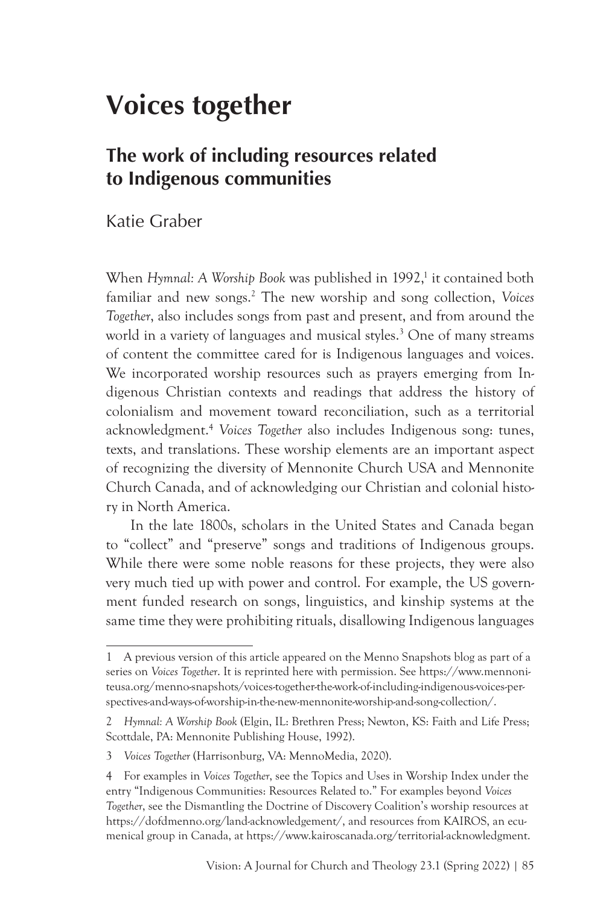## **Voices together**

## **The work of including resources related to Indigenous communities**

Katie Graber

When Hymnal: A Worship Book was published in 1992,<sup>1</sup> it contained both familiar and new songs.2 The new worship and song collection, *Voices Together*, also includes songs from past and present, and from around the world in a variety of languages and musical styles.3 One of many streams of content the committee cared for is Indigenous languages and voices. We incorporated worship resources such as prayers emerging from Indigenous Christian contexts and readings that address the history of colonialism and movement toward reconciliation, such as a territorial acknowledgment.4 *Voices Together* also includes Indigenous song: tunes, texts, and translations. These worship elements are an important aspect of recognizing the diversity of Mennonite Church USA and Mennonite Church Canada, and of acknowledging our Christian and colonial history in North America.

In the late 1800s, scholars in the United States and Canada began to "collect" and "preserve" songs and traditions of Indigenous groups. While there were some noble reasons for these projects, they were also very much tied up with power and control. For example, the US government funded research on songs, linguistics, and kinship systems at the same time they were prohibiting rituals, disallowing Indigenous languages

<sup>1</sup> A previous version of this article appeared on the Menno Snapshots blog as part of a series on *Voices Together*. It is reprinted here with permission. See https://www.mennoniteusa.org/menno-snapshots/voices-together-the-work-of-including-indigenous-voices-perspectives-and-ways-of-worship-in-the-new-mennonite-worship-and-song-collection/.

<sup>2</sup> *Hymnal: A Worship Book* (Elgin, IL: Brethren Press; Newton, KS: Faith and Life Press; Scottdale, PA: Mennonite Publishing House, 1992).

<sup>3</sup> *Voices Together* (Harrisonburg, VA: MennoMedia, 2020).

<sup>4</sup> For examples in *Voices Together*, see the Topics and Uses in Worship Index under the entry "Indigenous Communities: Resources Related to." For examples beyond *Voices Together*, see the Dismantling the Doctrine of Discovery Coalition's worship resources at https://dofdmenno.org/land-acknowledgement/, and resources from KAIROS, an ecumenical group in Canada, at https://www.kairoscanada.org/territorial-acknowledgment.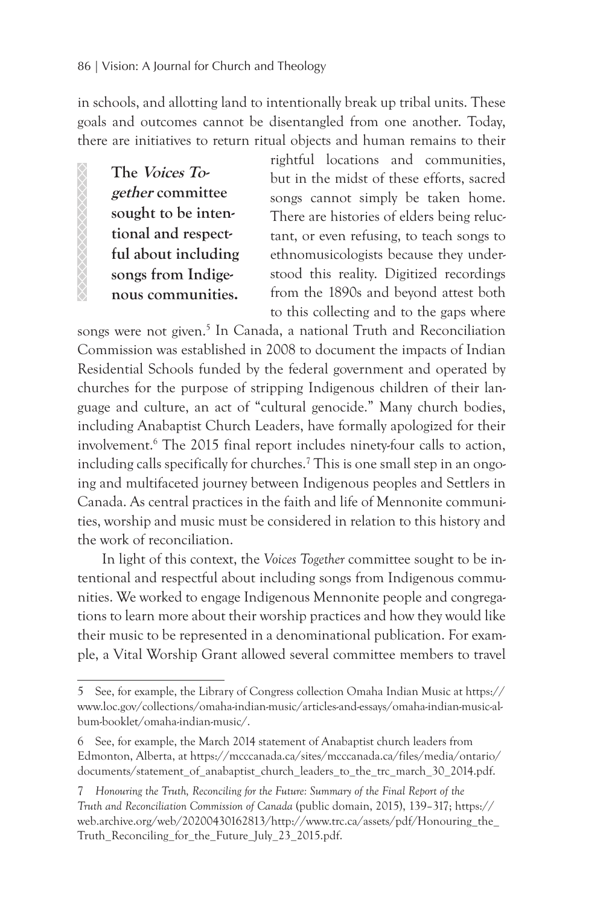in schools, and allotting land to intentionally break up tribal units. These goals and outcomes cannot be disentangled from one another. Today, there are initiatives to return ritual objects and human remains to their

**The Voices Together committee sought to be intentional and respectful about including songs from Indigenous communities.** 

**AAAAAAAAAAA** 

rightful locations and communities, but in the midst of these efforts, sacred songs cannot simply be taken home. There are histories of elders being reluctant, or even refusing, to teach songs to ethnomusicologists because they understood this reality. Digitized recordings from the 1890s and beyond attest both to this collecting and to the gaps where

songs were not given.<sup>5</sup> In Canada, a national Truth and Reconciliation Commission was established in 2008 to document the impacts of Indian Residential Schools funded by the federal government and operated by churches for the purpose of stripping Indigenous children of their language and culture, an act of "cultural genocide." Many church bodies, including Anabaptist Church Leaders, have formally apologized for their involvement.6 The 2015 final report includes ninety-four calls to action, including calls specifically for churches.<sup>7</sup> This is one small step in an ongoing and multifaceted journey between Indigenous peoples and Settlers in Canada. As central practices in the faith and life of Mennonite communities, worship and music must be considered in relation to this history and the work of reconciliation.

In light of this context, the *Voices Together* committee sought to be intentional and respectful about including songs from Indigenous communities. We worked to engage Indigenous Mennonite people and congregations to learn more about their worship practices and how they would like their music to be represented in a denominational publication. For example, a Vital Worship Grant allowed several committee members to travel

<sup>5</sup> See, for example, the Library of Congress collection Omaha Indian Music at https:// www.loc.gov/collections/omaha-indian-music/articles-and-essays/omaha-indian-music-album-booklet/omaha-indian-music/.

<sup>6</sup> See, for example, the March 2014 statement of Anabaptist church leaders from Edmonton, Alberta, at https://mcccanada.ca/sites/mcccanada.ca/files/media/ontario/ documents/statement\_of\_anabaptist\_church\_leaders\_to\_the\_trc\_march\_30\_2014.pdf.

<sup>7</sup> *Honouring the Truth, Reconciling for the Future: Summary of the Final Report of the Truth and Reconciliation Commission of Canada* (public domain, 2015), 139–317; https:// web.archive.org/web/20200430162813/http://www.trc.ca/assets/pdf/Honouring\_the\_ Truth Reconciling for the Future July 23 2015.pdf.